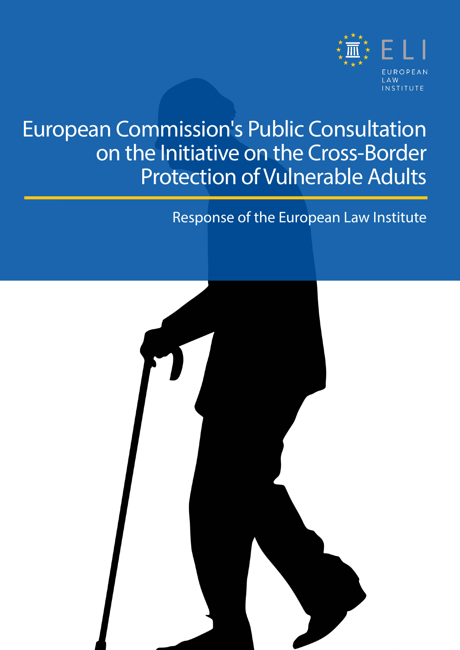

## European Commission's Public Consultation on the Initiative on the Cross-Border Protection of Vulnerable Adults

### Response of the European Law Institute

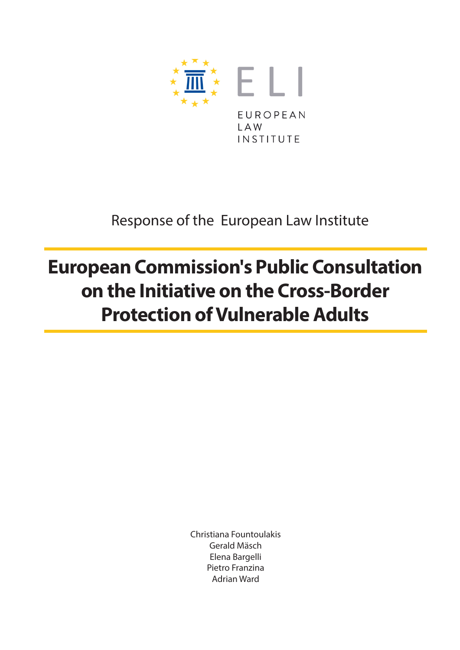

### Response of the European Law Institute

## **European Commission's Public Consultation on the Initiative on the Cross-Border Protection of Vulnerable Adults**

Christiana Fountoulakis Gerald Mäsch Elena Bargelli Pietro Franzina Adrian Ward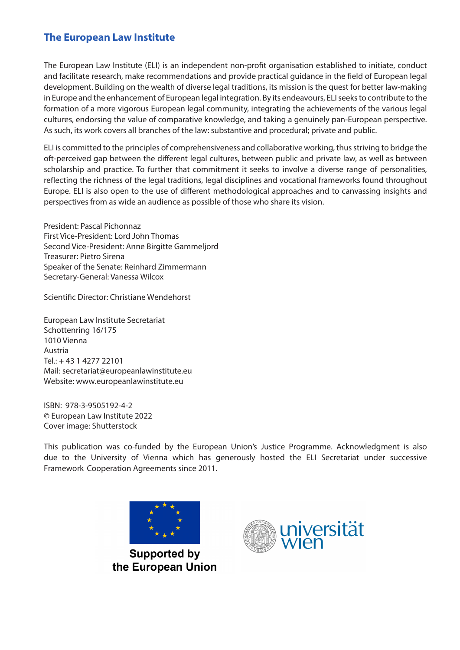#### **The European Law Institute**

The European Law Institute (ELI) is an independent non-profit organisation established to initiate, conduct and facilitate research, make recommendations and provide practical guidance in the field of European legal development. Building on the wealth of diverse legal traditions, its mission is the quest for better law-making in Europe and the enhancement of European legal integration. By its endeavours, ELI seeks to contribute to the formation of a more vigorous European legal community, integrating the achievements of the various legal cultures, endorsing the value of comparative knowledge, and taking a genuinely pan-European perspective. As such, its work covers all branches of the law: substantive and procedural; private and public.

ELI is committed to the principles of comprehensiveness and collaborative working, thus striving to bridge the oft-perceived gap between the different legal cultures, between public and private law, as well as between scholarship and practice. To further that commitment it seeks to involve a diverse range of personalities, reflecting the richness of the legal traditions, legal disciplines and vocational frameworks found throughout Europe. ELI is also open to the use of different methodological approaches and to canvassing insights and perspectives from as wide an audience as possible of those who share its vision.

President: Pascal Pichonnaz First Vice-President: Lord John Thomas Second Vice-President: Anne Birgitte Gammeljord Treasurer: Pietro Sirena Speaker of the Senate: Reinhard Zimmermann Secretary-General: Vanessa Wilcox

Scientific Director: Christiane Wendehorst

European Law Institute Secretariat Schottenring 16/175 1010 Vienna Austria Tel.: + 43 1 4277 22101 Mail: [secretariat@europeanlawinstitute.eu](mailto:secretariat%40europeanlawinstitute.eu?subject=)  Website: [www.europeanlawinstitute.eu](http://www.europeanlawinstitute.eu)

ISBN: 978-3-9505192-4-2 © European Law Institute 2022 Cover image: Shutterstock

This publication was co-funded by the European Union's Justice Programme. Acknowledgment is also due to the University of Vienna which has generously hosted the ELI Secretariat under successive Framework Cooperation Agreements since 2011.



**Supported by** the European Union

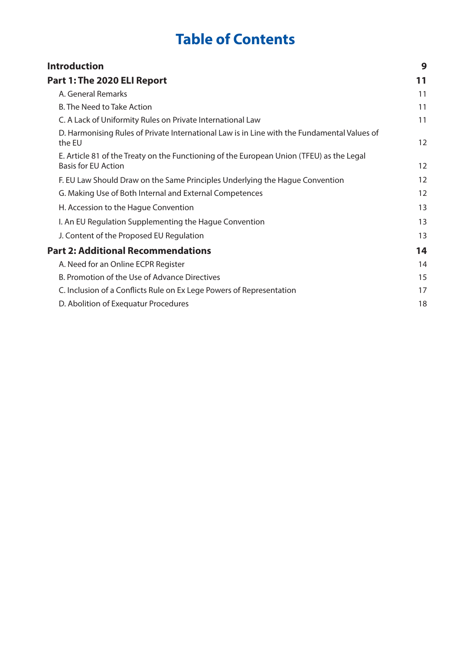### **Table of Contents**

| <b>Introduction</b>                                                                                                    | 9  |
|------------------------------------------------------------------------------------------------------------------------|----|
| Part 1: The 2020 ELI Report                                                                                            | 11 |
| A. General Remarks                                                                                                     | 11 |
| <b>B. The Need to Take Action</b>                                                                                      | 11 |
| C. A Lack of Uniformity Rules on Private International Law                                                             | 11 |
| D. Harmonising Rules of Private International Law is in Line with the Fundamental Values of<br>the EU                  | 12 |
| E. Article 81 of the Treaty on the Functioning of the European Union (TFEU) as the Legal<br><b>Basis for EU Action</b> | 12 |
| F. EU Law Should Draw on the Same Principles Underlying the Hague Convention                                           | 12 |
| G. Making Use of Both Internal and External Competences                                                                | 12 |
| H. Accession to the Hague Convention                                                                                   | 13 |
| I. An EU Regulation Supplementing the Hague Convention                                                                 | 13 |
| J. Content of the Proposed EU Regulation                                                                               | 13 |
| <b>Part 2: Additional Recommendations</b>                                                                              | 14 |
| A. Need for an Online ECPR Register                                                                                    | 14 |
| B. Promotion of the Use of Advance Directives                                                                          | 15 |
| C. Inclusion of a Conflicts Rule on Ex Lege Powers of Representation                                                   | 17 |
| D. Abolition of Exequatur Procedures                                                                                   | 18 |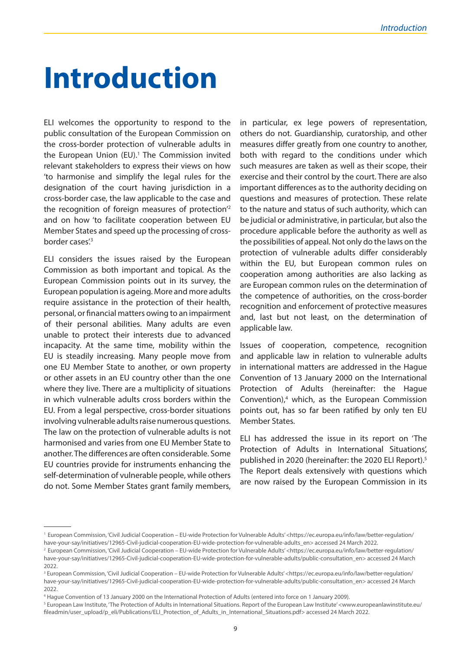## <span id="page-8-0"></span>**Introduction**

ELI welcomes the opportunity to respond to the public consultation of the European Commission on the cross-border protection of vulnerable adults in the European Union (EU).<sup>1</sup> The Commission invited relevant stakeholders to express their views on how 'to harmonise and simplify the legal rules for the designation of the court having jurisdiction in a cross-border case, the law applicable to the case and the recognition of foreign measures of protection'2 and on how 'to facilitate cooperation between EU Member States and speed up the processing of crossborder cases<sup>'3</sup>

ELI considers the issues raised by the European Commission as both important and topical. As the European Commission points out in its survey, the European population is ageing. More and more adults require assistance in the protection of their health, personal, or financial matters owing to an impairment of their personal abilities. Many adults are even unable to protect their interests due to advanced incapacity. At the same time, mobility within the EU is steadily increasing. Many people move from one EU Member State to another, or own property or other assets in an EU country other than the one where they live. There are a multiplicity of situations in which vulnerable adults cross borders within the EU. From a legal perspective, cross-border situations involving vulnerable adults raise numerous questions. The law on the protection of vulnerable adults is not harmonised and varies from one EU Member State to another. The differences are often considerable. Some EU countries provide for instruments enhancing the self-determination of vulnerable people, while others do not. Some Member States grant family members, in particular, ex lege powers of representation, others do not. Guardianship, curatorship, and other measures differ greatly from one country to another, both with regard to the conditions under which such measures are taken as well as their scope, their exercise and their control by the court. There are also important differences as to the authority deciding on questions and measures of protection. These relate to the nature and status of such authority, which can be judicial or administrative, in particular, but also the procedure applicable before the authority as well as the possibilities of appeal. Not only do the laws on the protection of vulnerable adults differ considerably within the EU, but European common rules on cooperation among authorities are also lacking as are European common rules on the determination of the competence of authorities, on the cross-border recognition and enforcement of protective measures and, last but not least, on the determination of applicable law.

Issues of cooperation, competence, recognition and applicable law in relation to vulnerable adults in international matters are addressed in the Hague Convention of 13 January 2000 on the International Protection of Adults (hereinafter: the Hague Convention),<sup>4</sup> which, as the European Commission points out, has so far been ratified by only ten EU Member States.

ELI has addressed the issue in its report on 'The Protection of Adults in International Situations', published in 2020 (hereinafter: the 2020 ELI Report).<sup>5</sup> The Report deals extensively with questions which are now raised by the European Commission in its

<sup>1</sup> European Commission, 'Civil Judicial Cooperation – EU-wide Protection for Vulnerable Adults' <https://ec.europa.eu/info/law/better-regulation/ have-your-say/initiatives/12965-Civil-judicial-cooperation-EU-wide-protection-for-vulnerable-adults\_en> accessed 24 March 2022.

<sup>&</sup>lt;sup>2</sup> European Commission, 'Civil Judicial Cooperation – EU-wide Protection for Vulnerable Adults' <https://ec.europa.eu/info/law/better-regulation/ have-your-say/initiatives/12965-Civil-judicial-cooperation-EU-wide-protection-for-vulnerable-adults/public-consultation\_en> accessed 24 March 2022.

<sup>&</sup>lt;sup>3</sup> European Commission, 'Civil Judicial Cooperation – EU-wide Protection for Vulnerable Adults' <https://ec.europa.eu/info/law/better-regulation/ have-your-say/initiatives/12965-Civil-judicial-cooperation-EU-wide-protection-for-vulnerable-adults/public-consultation\_en> accessed 24 March 2022.

<sup>4</sup> Hague Convention of 13 January 2000 on the International Protection of Adults (entered into force on 1 January 2009).

 $^5$  European Law Institute, 'The Protection of Adults in International Situations. Report of the European Law Institute' <www.europeanlawinstitute.eu/ fileadmin/user\_upload/p\_eli/Publications/ELI\_Protection\_of\_Adults\_in\_International\_Situations.pdf> accessed 24 March 2022.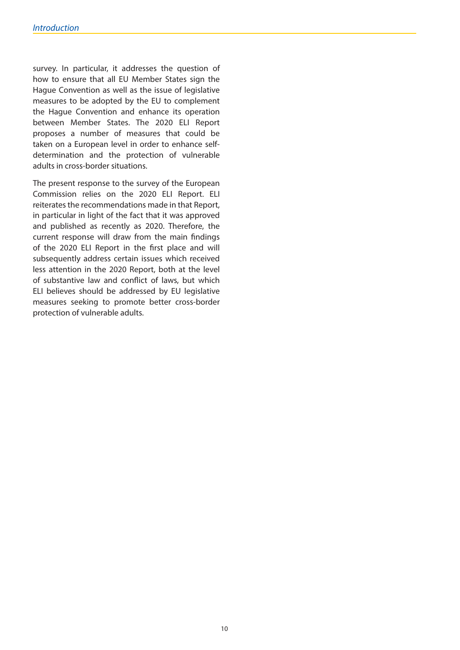survey. In particular, it addresses the question of how to ensure that all EU Member States sign the Hague Convention as well as the issue of legislative measures to be adopted by the EU to complement the Hague Convention and enhance its operation between Member States. The 2020 ELI Report proposes a number of measures that could be taken on a European level in order to enhance selfdetermination and the protection of vulnerable adults in cross-border situations.

The present response to the survey of the European Commission relies on the 2020 ELI Report. ELI reiterates the recommendations made in that Report, in particular in light of the fact that it was approved and published as recently as 2020. Therefore, the current response will draw from the main findings of the 2020 ELI Report in the first place and will subsequently address certain issues which received less attention in the 2020 Report, both at the level of substantive law and conflict of laws, but which ELI believes should be addressed by EU legislative measures seeking to promote better cross-border protection of vulnerable adults.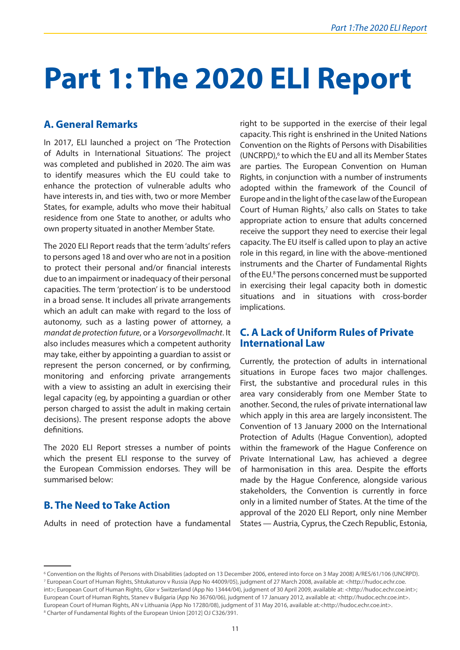# <span id="page-10-0"></span>**Part 1: The 2020 ELI Report**

#### **A. General Remarks**

In 2017, ELI launched a project on 'The Protection of Adults in International Situations'. The project was completed and published in 2020. The aim was to identify measures which the EU could take to enhance the protection of vulnerable adults who have interests in, and ties with, two or more Member States, for example, adults who move their habitual residence from one State to another, or adults who own property situated in another Member State.

The 2020 ELI Report reads that the term 'adults' refers to persons aged 18 and over who are not in a position to protect their personal and/or financial interests due to an impairment or inadequacy of their personal capacities. The term 'protection' is to be understood in a broad sense. It includes all private arrangements which an adult can make with regard to the loss of autonomy, such as a lasting power of attorney, a *mandat de protection future*, or a *Vorsorgevollmacht*. It also includes measures which a competent authority may take, either by appointing a guardian to assist or represent the person concerned, or by confirming, monitoring and enforcing private arrangements with a view to assisting an adult in exercising their legal capacity (eg, by appointing a guardian or other person charged to assist the adult in making certain decisions). The present response adopts the above definitions.

The 2020 ELI Report stresses a number of points which the present ELI response to the survey of the European Commission endorses. They will be summarised below:

#### **B. The Need to Take Action**

Adults in need of protection have a fundamental

right to be supported in the exercise of their legal capacity. This right is enshrined in the United Nations Convention on the Rights of Persons with Disabilities (UNCRPD),<sup>6</sup> to which the EU and all its Member States are parties. The European Convention on Human Rights, in conjunction with a number of instruments adopted within the framework of the Council of Europe and in the light of the case law of the European Court of Human Rights, $7$  also calls on States to take appropriate action to ensure that adults concerned receive the support they need to exercise their legal capacity. The EU itself is called upon to play an active role in this regard, in line with the above-mentioned instruments and the Charter of Fundamental Rights of the EU.<sup>8</sup> The persons concerned must be supported in exercising their legal capacity both in domestic situations and in situations with cross-border implications.

#### **C. A Lack of Uniform Rules of Private International Law**

Currently, the protection of adults in international situations in Europe faces two major challenges. First, the substantive and procedural rules in this area vary considerably from one Member State to another. Second, the rules of private international law which apply in this area are largely inconsistent. The Convention of 13 January 2000 on the International Protection of Adults (Hague Convention), adopted within the framework of the Hague Conference on Private International Law, has achieved a degree of harmonisation in this area. Despite the efforts made by the Hague Conference, alongside various stakeholders, the Convention is currently in force only in a limited number of States. At the time of the approval of the 2020 ELI Report, only nine Member States — Austria, Cyprus, the Czech Republic, Estonia,

<sup>6</sup> Convention on the Rights of Persons with Disabilities (adopted on 13 December 2006, entered into force on 3 May 2008) A/RES/61/106 (UNCRPD). 7 European Court of Human Rights, Shtukaturov v Russia (App No 44009/05), judgment of 27 March 2008, available at: <http://hudoc.echr.coe. int>: European Court of Human Rights, Glor v Switzerland (App No 13444/04), judgment of 30 April 2009, available at: <http://hudoc.echr.coe.int>; European Court of Human Rights, Stanev v Bulgaria (App No 36760/06), judgment of 17 January 2012, available at: <http://hudoc.echr.coe.int>. European Court of Human Rights, AN v Lithuania (App No 17280/08), judgment of 31 May 2016, available at:<http://hudoc.echr.coe.int>. <sup>8</sup> Charter of Fundamental Rights of the European Union [2012] OJ C326/391.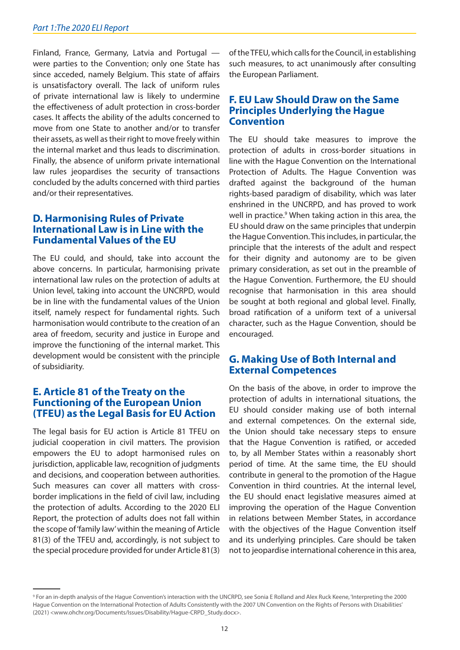<span id="page-11-0"></span>Finland, France, Germany, Latvia and Portugal were parties to the Convention; only one State has since acceded, namely Belgium. This state of affairs is unsatisfactory overall. The lack of uniform rules of private international law is likely to undermine the effectiveness of adult protection in cross-border cases. It affects the ability of the adults concerned to move from one State to another and/or to transfer their assets, as well as their right to move freely within the internal market and thus leads to discrimination. Finally, the absence of uniform private international law rules jeopardises the security of transactions concluded by the adults concerned with third parties and/or their representatives.

#### **D. Harmonising Rules of Private International Law is in Line with the Fundamental Values of the EU**

The EU could, and should, take into account the above concerns. In particular, harmonising private international law rules on the protection of adults at Union level, taking into account the UNCRPD, would be in line with the fundamental values of the Union itself, namely respect for fundamental rights. Such harmonisation would contribute to the creation of an area of freedom, security and justice in Europe and improve the functioning of the internal market. This development would be consistent with the principle of subsidiarity.

#### **E. Article 81 of the Treaty on the Functioning of the European Union (TFEU) as the Legal Basis for EU Action**

The legal basis for EU action is Article 81 TFEU on judicial cooperation in civil matters. The provision empowers the EU to adopt harmonised rules on jurisdiction, applicable law, recognition of judgments and decisions, and cooperation between authorities. Such measures can cover all matters with crossborder implications in the field of civil law, including the protection of adults. According to the 2020 ELI Report, the protection of adults does not fall within the scope of 'family law' within the meaning of Article 81(3) of the TFEU and, accordingly, is not subject to the special procedure provided for under Article 81(3) of the TFEU, which calls for the Council, in establishing such measures, to act unanimously after consulting the European Parliament.

#### **F. EU Law Should Draw on the Same Principles Underlying the Hague Convention**

The EU should take measures to improve the protection of adults in cross-border situations in line with the Hague Convention on the International Protection of Adults. The Hague Convention was drafted against the background of the human rights-based paradigm of disability, which was later enshrined in the UNCRPD, and has proved to work well in practice.<sup>9</sup> When taking action in this area, the EU should draw on the same principles that underpin the Hague Convention. This includes, in particular, the principle that the interests of the adult and respect for their dignity and autonomy are to be given primary consideration, as set out in the preamble of the Hague Convention. Furthermore, the EU should recognise that harmonisation in this area should be sought at both regional and global level. Finally, broad ratification of a uniform text of a universal character, such as the Hague Convention, should be encouraged.

#### **G. Making Use of Both Internal and External Competences**

On the basis of the above, in order to improve the protection of adults in international situations, the EU should consider making use of both internal and external competences. On the external side, the Union should take necessary steps to ensure that the Hague Convention is ratified, or acceded to, by all Member States within a reasonably short period of time. At the same time, the EU should contribute in general to the promotion of the Hague Convention in third countries. At the internal level, the EU should enact legislative measures aimed at improving the operation of the Hague Convention in relations between Member States, in accordance with the objectives of the Hague Convention itself and its underlying principles. Care should be taken not to jeopardise international coherence in this area,

<sup>9</sup> For an in-depth analysis of the Hague Convention's interaction with the UNCRPD, see Sonia E Rolland and Alex Ruck Keene, 'Interpreting the 2000 Hague Convention on the International Protection of Adults Consistently with the 2007 UN Convention on the Rights of Persons with Disabilities' (2021) <www.ohchr.org/Documents/Issues/Disability/Hague-CRPD\_Study.docx>.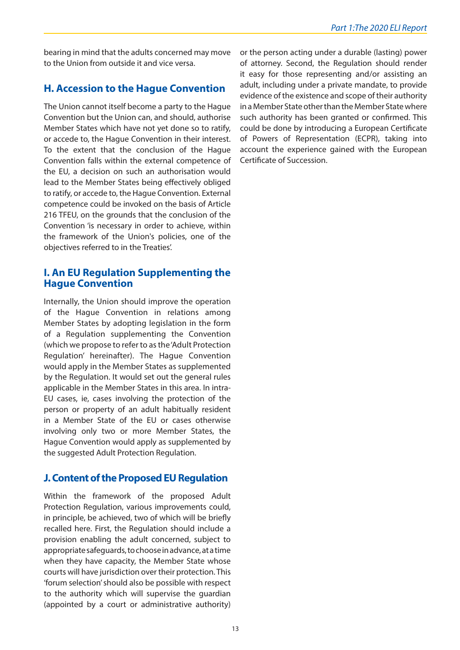<span id="page-12-0"></span>bearing in mind that the adults concerned may move to the Union from outside it and vice versa.

#### **H. Accession to the Hague Convention**

The Union cannot itself become a party to the Hague Convention but the Union can, and should, authorise Member States which have not yet done so to ratify, or accede to, the Hague Convention in their interest. To the extent that the conclusion of the Hague Convention falls within the external competence of the EU, a decision on such an authorisation would lead to the Member States being effectively obliged to ratify, or accede to, the Hague Convention. External competence could be invoked on the basis of Article 216 TFEU, on the grounds that the conclusion of the Convention 'is necessary in order to achieve, within the framework of the Union's policies, one of the objectives referred to in the Treaties'.

#### **I. An EU Regulation Supplementing the Hague Convention**

Internally, the Union should improve the operation of the Hague Convention in relations among Member States by adopting legislation in the form of a Regulation supplementing the Convention (which we propose to refer to as the 'Adult Protection Regulation' hereinafter). The Hague Convention would apply in the Member States as supplemented by the Regulation. It would set out the general rules applicable in the Member States in this area. In intra-EU cases, ie, cases involving the protection of the person or property of an adult habitually resident in a Member State of the EU or cases otherwise involving only two or more Member States, the Hague Convention would apply as supplemented by the suggested Adult Protection Regulation.

#### **J. Content of the Proposed EU Regulation**

Within the framework of the proposed Adult Protection Regulation, various improvements could, in principle, be achieved, two of which will be briefly recalled here. First, the Regulation should include a provision enabling the adult concerned, subject to appropriate safeguards, to choose in advance, at a time when they have capacity, the Member State whose courts will have jurisdiction over their protection. This 'forum selection' should also be possible with respect to the authority which will supervise the guardian (appointed by a court or administrative authority)

or the person acting under a durable (lasting) power of attorney. Second, the Regulation should render it easy for those representing and/or assisting an adult, including under a private mandate, to provide evidence of the existence and scope of their authority in a Member State other than the Member State where such authority has been granted or confirmed. This could be done by introducing a European Certificate of Powers of Representation (ECPR), taking into account the experience gained with the European Certificate of Succession.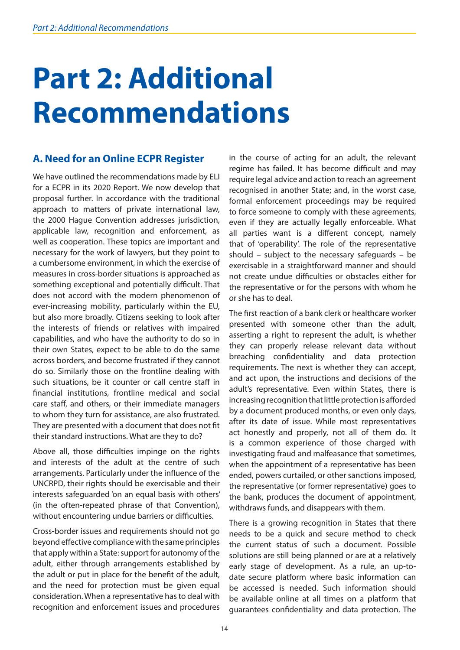# <span id="page-13-0"></span>**Part 2: Additional Recommendations**

#### **A. Need for an Online ECPR Register**

We have outlined the recommendations made by ELI for a ECPR in its 2020 Report. We now develop that proposal further. In accordance with the traditional approach to matters of private international law, the 2000 Hague Convention addresses jurisdiction, applicable law, recognition and enforcement, as well as cooperation. These topics are important and necessary for the work of lawyers, but they point to a cumbersome environment, in which the exercise of measures in cross-border situations is approached as something exceptional and potentially difficult. That does not accord with the modern phenomenon of ever-increasing mobility, particularly within the EU, but also more broadly. Citizens seeking to look after the interests of friends or relatives with impaired capabilities, and who have the authority to do so in their own States, expect to be able to do the same across borders, and become frustrated if they cannot do so. Similarly those on the frontline dealing with such situations, be it counter or call centre staff in financial institutions, frontline medical and social care staff, and others, or their immediate managers to whom they turn for assistance, are also frustrated. They are presented with a document that does not fit their standard instructions. What are they to do?

Above all, those difficulties impinge on the rights and interests of the adult at the centre of such arrangements. Particularly under the influence of the UNCRPD, their rights should be exercisable and their interests safeguarded 'on an equal basis with others' (in the often-repeated phrase of that Convention), without encountering undue barriers or difficulties.

Cross-border issues and requirements should not go beyond effective compliance with the same principles that apply within a State: support for autonomy of the adult, either through arrangements established by the adult or put in place for the benefit of the adult, and the need for protection must be given equal consideration. When a representative has to deal with recognition and enforcement issues and procedures in the course of acting for an adult, the relevant regime has failed. It has become difficult and may require legal advice and action to reach an agreement recognised in another State; and, in the worst case, formal enforcement proceedings may be required to force someone to comply with these agreements, even if they are actually legally enforceable. What all parties want is a different concept, namely that of 'operability'. The role of the representative should – subject to the necessary safeguards – be exercisable in a straightforward manner and should not create undue difficulties or obstacles either for the representative or for the persons with whom he or she has to deal.

The first reaction of a bank clerk or healthcare worker presented with someone other than the adult, asserting a right to represent the adult, is whether they can properly release relevant data without breaching confidentiality and data protection requirements. The next is whether they can accept, and act upon, the instructions and decisions of the adult's representative. Even within States, there is increasing recognition that little protection is afforded by a document produced months, or even only days, after its date of issue. While most representatives act honestly and properly, not all of them do. It is a common experience of those charged with investigating fraud and malfeasance that sometimes, when the appointment of a representative has been ended, powers curtailed, or other sanctions imposed, the representative (or former representative) goes to the bank, produces the document of appointment, withdraws funds, and disappears with them.

There is a growing recognition in States that there needs to be a quick and secure method to check the current status of such a document. Possible solutions are still being planned or are at a relatively early stage of development. As a rule, an up-todate secure platform where basic information can be accessed is needed. Such information should be available online at all times on a platform that guarantees confidentiality and data protection. The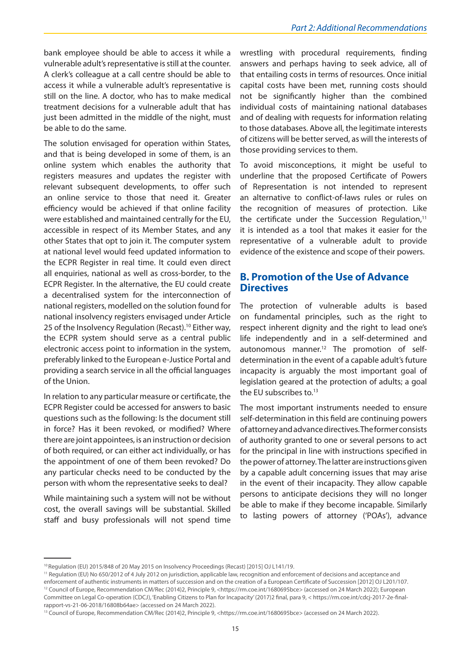<span id="page-14-0"></span>bank employee should be able to access it while a vulnerable adult's representative is still at the counter. A clerk's colleague at a call centre should be able to access it while a vulnerable adult's representative is still on the line. A doctor, who has to make medical treatment decisions for a vulnerable adult that has just been admitted in the middle of the night, must be able to do the same.

The solution envisaged for operation within States, and that is being developed in some of them, is an online system which enables the authority that registers measures and updates the register with relevant subsequent developments, to offer such an online service to those that need it. Greater efficiency would be achieved if that online facility were established and maintained centrally for the EU, accessible in respect of its Member States, and any other States that opt to join it. The computer system at national level would feed updated information to the ECPR Register in real time. It could even direct all enquiries, national as well as cross-border, to the ECPR Register. In the alternative, the EU could create a decentralised system for the interconnection of national registers, modelled on the solution found for national insolvency registers envisaged under Article 25 of the Insolvency Regulation (Recast).<sup>10</sup> Either way, the ECPR system should serve as a central public electronic access point to information in the system, preferably linked to the European e-Justice Portal and providing a search service in all the official languages of the Union.

In relation to any particular measure or certificate, the ECPR Register could be accessed for answers to basic questions such as the following: Is the document still in force? Has it been revoked, or modified? Where there are joint appointees, is an instruction or decision of both required, or can either act individually, or has the appointment of one of them been revoked? Do any particular checks need to be conducted by the person with whom the representative seeks to deal?

While maintaining such a system will not be without cost, the overall savings will be substantial. Skilled staff and busy professionals will not spend time wrestling with procedural requirements, finding answers and perhaps having to seek advice, all of that entailing costs in terms of resources. Once initial capital costs have been met, running costs should not be significantly higher than the combined individual costs of maintaining national databases and of dealing with requests for information relating to those databases. Above all, the legitimate interests of citizens will be better served, as will the interests of those providing services to them.

To avoid misconceptions, it might be useful to underline that the proposed Certificate of Powers of Representation is not intended to represent an alternative to conflict-of-laws rules or rules on the recognition of measures of protection. Like the certificate under the Succession Regulation, $11$ it is intended as a tool that makes it easier for the representative of a vulnerable adult to provide evidence of the existence and scope of their powers.

#### **B. Promotion of the Use of Advance Directives**

The protection of vulnerable adults is based on fundamental principles, such as the right to respect inherent dignity and the right to lead one's life independently and in a self-determined and autonomous manner.<sup>12</sup> The promotion of selfdetermination in the event of a capable adult's future incapacity is arguably the most important goal of legislation geared at the protection of adults; a goal the EU subscribes to.<sup>13</sup>

The most important instruments needed to ensure self-determination in this field are continuing powers of attorney and advance directives. The former consists of authority granted to one or several persons to act for the principal in line with instructions specified in the power of attorney. The latter are instructions given by a capable adult concerning issues that may arise in the event of their incapacity. They allow capable persons to anticipate decisions they will no longer be able to make if they become incapable. Similarly to lasting powers of attorney ('POAs'), advance

<sup>&</sup>lt;sup>10</sup> Regulation (EU) 2015/848 of 20 May 2015 on Insolvency Proceedings (Recast) [2015] OJ L141/19.

<sup>11</sup> Regulation (EU) No 650/2012 of 4 July 2012 on jurisdiction, applicable law, recognition and enforcement of decisions and acceptance and enforcement of authentic instruments in matters of succession and on the creation of a European Certificate of Succession [2012] OJ L201/107. <sup>12</sup> Council of Europe, Recommendation CM/Rec (2014)2, Principle 9, <https://rm.coe.int/1680695bce> (accessed on 24 March 2022); European Committee on Legal Co-operation (CDCJ), 'Enabling Citizens to Plan for Incapacity' (2017)2 final, para 9, < https://rm.coe.int/cdcj-2017-2e-finalrapport-vs-21-06-2018/16808b64ae> (accessed on 24 March 2022).

<sup>&</sup>lt;sup>13</sup> Council of Europe, Recommendation CM/Rec (2014)2, Principle 9, <https://rm.coe.int/1680695bce> (accessed on 24 March 2022).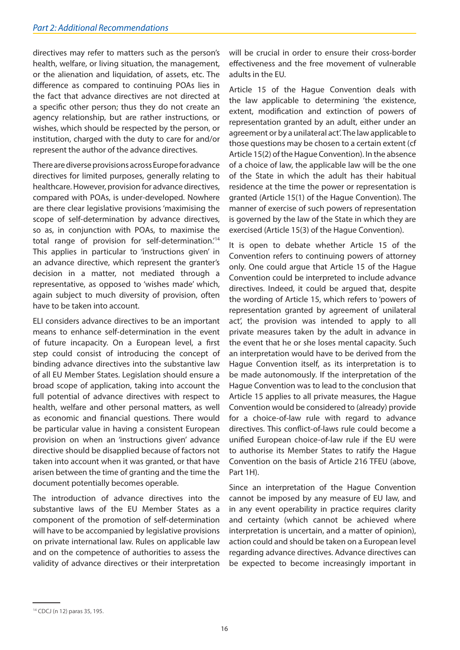directives may refer to matters such as the person's health, welfare, or living situation, the management, or the alienation and liquidation, of assets, etc. The difference as compared to continuing POAs lies in the fact that advance directives are not directed at a specific other person; thus they do not create an agency relationship, but are rather instructions, or wishes, which should be respected by the person, or institution, charged with the duty to care for and/or represent the author of the advance directives.

There are diverse provisions across Europe for advance directives for limited purposes, generally relating to healthcare. However, provision for advance directives, compared with POAs, is under-developed. Nowhere are there clear legislative provisions 'maximising the scope of self-determination by advance directives, so as, in conjunction with POAs, to maximise the total range of provision for self-determination.'14 This applies in particular to 'instructions given' in an advance directive, which represent the granter's decision in a matter, not mediated through a representative, as opposed to 'wishes made' which, again subject to much diversity of provision, often have to be taken into account.

ELI considers advance directives to be an important means to enhance self-determination in the event of future incapacity. On a European level, a first step could consist of introducing the concept of binding advance directives into the substantive law of all EU Member States. Legislation should ensure a broad scope of application, taking into account the full potential of advance directives with respect to health, welfare and other personal matters, as well as economic and financial questions. There would be particular value in having a consistent European provision on when an 'instructions given' advance directive should be disapplied because of factors not taken into account when it was granted, or that have arisen between the time of granting and the time the document potentially becomes operable.

The introduction of advance directives into the substantive laws of the EU Member States as a component of the promotion of self-determination will have to be accompanied by legislative provisions on private international law. Rules on applicable law and on the competence of authorities to assess the validity of advance directives or their interpretation will be crucial in order to ensure their cross-border effectiveness and the free movement of vulnerable adults in the EU.

Article 15 of the Hague Convention deals with the law applicable to determining 'the existence, extent, modification and extinction of powers of representation granted by an adult, either under an agreement or by a unilateral act'. The law applicable to those questions may be chosen to a certain extent (cf Article 15(2) of the Hague Convention). In the absence of a choice of law, the applicable law will be the one of the State in which the adult has their habitual residence at the time the power or representation is granted (Article 15(1) of the Hague Convention). The manner of exercise of such powers of representation is governed by the law of the State in which they are exercised (Article 15(3) of the Hague Convention).

It is open to debate whether Article 15 of the Convention refers to continuing powers of attorney only. One could argue that Article 15 of the Hague Convention could be interpreted to include advance directives. Indeed, it could be argued that, despite the wording of Article 15, which refers to 'powers of representation granted by agreement of unilateral act', the provision was intended to apply to all private measures taken by the adult in advance in the event that he or she loses mental capacity. Such an interpretation would have to be derived from the Hague Convention itself, as its interpretation is to be made autonomously. If the interpretation of the Hague Convention was to lead to the conclusion that Article 15 applies to all private measures, the Hague Convention would be considered to (already) provide for a choice-of-law rule with regard to advance directives. This conflict-of-laws rule could become a unified European choice-of-law rule if the EU were to authorise its Member States to ratify the Hague Convention on the basis of Article 216 TFEU (above, Part 1H).

Since an interpretation of the Hague Convention cannot be imposed by any measure of EU law, and in any event operability in practice requires clarity and certainty (which cannot be achieved where interpretation is uncertain, and a matter of opinion), action could and should be taken on a European level regarding advance directives. Advance directives can be expected to become increasingly important in

<sup>14</sup> CDCJ (n 12) paras 35, 195.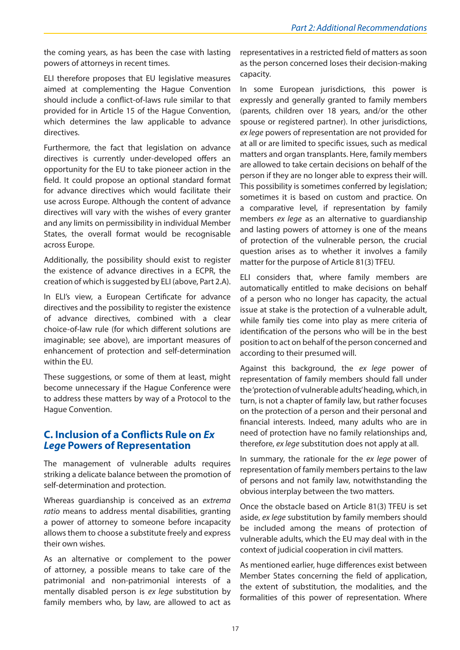<span id="page-16-0"></span>the coming years, as has been the case with lasting powers of attorneys in recent times.

ELI therefore proposes that EU legislative measures aimed at complementing the Hague Convention should include a conflict-of-laws rule similar to that provided for in Article 15 of the Hague Convention, which determines the law applicable to advance directives.

Furthermore, the fact that legislation on advance directives is currently under-developed offers an opportunity for the EU to take pioneer action in the field. It could propose an optional standard format for advance directives which would facilitate their use across Europe. Although the content of advance directives will vary with the wishes of every granter and any limits on permissibility in individual Member States, the overall format would be recognisable across Europe.

Additionally, the possibility should exist to register the existence of advance directives in a ECPR, the creation of which is suggested by ELI (above, Part 2.A).

In ELI's view, a European Certificate for advance directives and the possibility to register the existence of advance directives, combined with a clear choice-of-law rule (for which different solutions are imaginable; see above), are important measures of enhancement of protection and self-determination within the EU.

These suggestions, or some of them at least, might become unnecessary if the Hague Conference were to address these matters by way of a Protocol to the Hague Convention.

#### **C. Inclusion of a Conflicts Rule on** *Ex Lege* **Powers of Representation**

The management of vulnerable adults requires striking a delicate balance between the promotion of self-determination and protection.

Whereas guardianship is conceived as an *extrema ratio* means to address mental disabilities, granting a power of attorney to someone before incapacity allows them to choose a substitute freely and express their own wishes.

As an alternative or complement to the power of attorney, a possible means to take care of the patrimonial and non-patrimonial interests of a mentally disabled person is *ex lege* substitution by family members who, by law, are allowed to act as

representatives in a restricted field of matters as soon as the person concerned loses their decision-making capacity.

In some European jurisdictions, this power is expressly and generally granted to family members (parents, children over 18 years, and/or the other spouse or registered partner). In other jurisdictions, *ex lege* powers of representation are not provided for at all or are limited to specific issues, such as medical matters and organ transplants. Here, family members are allowed to take certain decisions on behalf of the person if they are no longer able to express their will. This possibility is sometimes conferred by legislation; sometimes it is based on custom and practice. On a comparative level, if representation by family members *ex lege* as an alternative to guardianship and lasting powers of attorney is one of the means of protection of the vulnerable person, the crucial question arises as to whether it involves a family matter for the purpose of Article 81(3) TFEU.

ELI considers that, where family members are automatically entitled to make decisions on behalf of a person who no longer has capacity, the actual issue at stake is the protection of a vulnerable adult, while family ties come into play as mere criteria of identification of the persons who will be in the best position to act on behalf of the person concerned and according to their presumed will.

Against this background, the *ex lege* power of representation of family members should fall under the 'protection of vulnerable adults' heading, which, in turn, is not a chapter of family law, but rather focuses on the protection of a person and their personal and financial interests. Indeed, many adults who are in need of protection have no family relationships and, therefore, *ex lege* substitution does not apply at all.

In summary, the rationale for the *ex lege* power of representation of family members pertains to the law of persons and not family law, notwithstanding the obvious interplay between the two matters.

Once the obstacle based on Article 81(3) TFEU is set aside, *ex lege* substitution by family members should be included among the means of protection of vulnerable adults, which the EU may deal with in the context of judicial cooperation in civil matters.

As mentioned earlier, huge differences exist between Member States concerning the field of application, the extent of substitution, the modalities, and the formalities of this power of representation. Where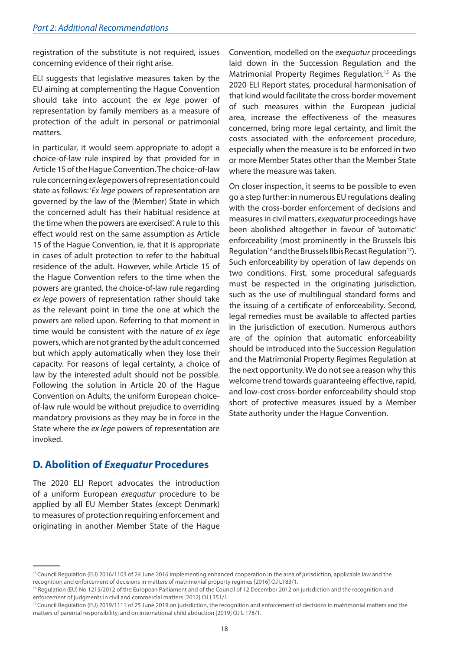<span id="page-17-0"></span>registration of the substitute is not required, issues concerning evidence of their right arise.

ELI suggests that legislative measures taken by the EU aiming at complementing the Hague Convention should take into account the *ex lege* power of representation by family members as a measure of protection of the adult in personal or patrimonial matters.

In particular, it would seem appropriate to adopt a choice-of-law rule inspired by that provided for in Article 15 of the Hague Convention. The choice-of-law rule concerning *ex lege* powers of representation could state as follows: '*Ex lege* powers of representation are governed by the law of the (Member) State in which the concerned adult has their habitual residence at the time when the powers are exercised'. A rule to this effect would rest on the same assumption as Article 15 of the Hague Convention, ie, that it is appropriate in cases of adult protection to refer to the habitual residence of the adult. However, while Article 15 of the Hague Convention refers to the time when the powers are granted, the choice-of-law rule regarding *ex lege* powers of representation rather should take as the relevant point in time the one at which the powers are relied upon. Referring to that moment in time would be consistent with the nature of *ex lege*  powers, which are not granted by the adult concerned but which apply automatically when they lose their capacity. For reasons of legal certainty, a choice of law by the interested adult should not be possible. Following the solution in Article 20 of the Hague Convention on Adults, the uniform European choiceof-law rule would be without prejudice to overriding mandatory provisions as they may be in force in the State where the *ex lege* powers of representation are invoked.

**D. Abolition of** *Exequatur* **Procedures** 

The 2020 ELI Report advocates the introduction of a uniform European *exequatur* procedure to be applied by all EU Member States (except Denmark) to measures of protection requiring enforcement and originating in another Member State of the Hague

Convention, modelled on the *exequatur* proceedings laid down in the Succession Regulation and the Matrimonial Property Regimes Regulation.<sup>15</sup> As the 2020 ELI Report states, procedural harmonisation of that kind would facilitate the cross-border movement of such measures within the European judicial area, increase the effectiveness of the measures concerned, bring more legal certainty, and limit the costs associated with the enforcement procedure, especially when the measure is to be enforced in two or more Member States other than the Member State where the measure was taken.

On closer inspection, it seems to be possible to even go a step further: in numerous EU regulations dealing with the cross-border enforcement of decisions and measures in civil matters, *exequatur* proceedings have been abolished altogether in favour of 'automatic' enforceability (most prominently in the Brussels Ibis Regulation<sup>16</sup> and the Brussels IIbis Recast Regulation<sup>17</sup>). Such enforceability by operation of law depends on two conditions. First, some procedural safeguards must be respected in the originating jurisdiction, such as the use of multilingual standard forms and the issuing of a certificate of enforceability. Second, legal remedies must be available to affected parties in the jurisdiction of execution. Numerous authors are of the opinion that automatic enforceability should be introduced into the Succession Regulation and the Matrimonial Property Regimes Regulation at the next opportunity. We do not see a reason why this welcome trend towards guaranteeing effective, rapid, and low-cost cross-border enforceability should stop short of protective measures issued by a Member State authority under the Hague Convention.

<sup>&</sup>lt;sup>15</sup> Council Regulation (EU) 2016/1103 of 24 June 2016 implementing enhanced cooperation in the area of jurisdiction, applicable law and the recognition and enforcement of decisions in matters of matrimonial property regimes [2016] OJ L183/1.

<sup>&</sup>lt;sup>16</sup> Regulation (EU) No 1215/2012 of the European Parliament and of the Council of 12 December 2012 on jurisdiction and the recognition and enforcement of judgments in civil and commercial matters [2012] OJ L351/1.

<sup>&</sup>lt;sup>17</sup> Council Regulation (EU) 2019/1111 of 25 June 2019 on jurisdiction, the recognition and enforcement of decisions in matrimonial matters and the matters of parental responsibility, and on international child abduction [2019] OJ L 178/1.